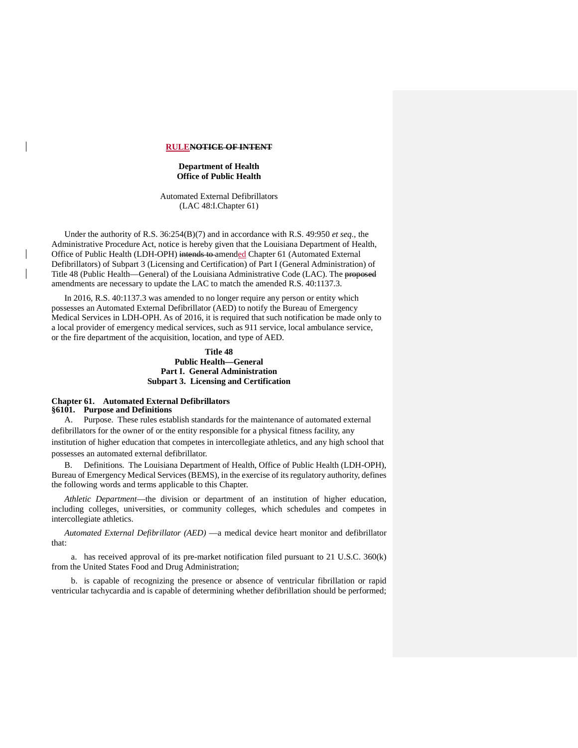#### **RULENOTICE OF INTENT**

## **Department of Health Office of Public Health**

Automated External Defibrillators (LAC 48:I.Chapter 61)

Under the authority of R.S. 36:254(B)(7) and in accordance with R.S. 49:950 *et seq.,* the Administrative Procedure Act, notice is hereby given that the Louisiana Department of Health, Office of Public Health (LDH-OPH) intends to amended Chapter 61 (Automated External Defibrillators) of Subpart 3 (Licensing and Certification) of Part I (General Administration) of Title 48 (Public Health—General) of the Louisiana Administrative Code (LAC). The proposed amendments are necessary to update the LAC to match the amended R.S. 40:1137.3.

In 2016, R.S. 40:1137.3 was amended to no longer require any person or entity which possesses an Automated External Defibrillator (AED) to notify the Bureau of Emergency Medical Services in LDH-OPH. As of 2016, it is required that such notification be made only to a local provider of emergency medical services, such as 911 service, local ambulance service, or the fire department of the acquisition, location, and type of AED.

# **Title 48 Public Health—General Part I. General Administration Subpart 3. Licensing and Certification**

## **Chapter 61. Automated External Defibrillators §6101. Purpose and Definitions**

A. Purpose. These rules establish standards for the maintenance of automated external defibrillators for the owner of or the entity responsible for a physical fitness facility, any institution of higher education that competes in intercollegiate athletics, and any high school that possesses an automated external defibrillator.

B. Definitions. The Louisiana Department of Health, Office of Public Health (LDH-OPH), Bureau of Emergency Medical Services (BEMS), in the exercise of its regulatory authority, defines the following words and terms applicable to this Chapter.

*Athletic Department*—the division or department of an institution of higher education, including colleges, universities, or community colleges, which schedules and competes in intercollegiate athletics.

*Automated External Defibrillator (AED)* —a medical device heart monitor and defibrillator that:

a. has received approval of its pre-market notification filed pursuant to 21 U.S.C. 360(k) from the United States Food and Drug Administration;

b. is capable of recognizing the presence or absence of ventricular fibrillation or rapid ventricular tachycardia and is capable of determining whether defibrillation should be performed;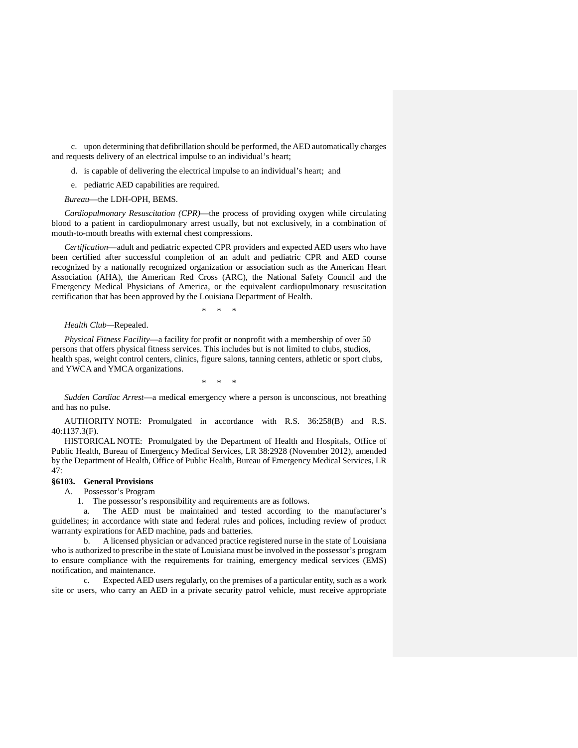c. upon determining that defibrillation should be performed, the AED automatically charges and requests delivery of an electrical impulse to an individual's heart;

d. is capable of delivering the electrical impulse to an individual's heart; and

e. pediatric AED capabilities are required.

#### *Bureau*—the LDH-OPH, BEMS.

*Cardiopulmonary Resuscitation (CPR)*—the process of providing oxygen while circulating blood to a patient in cardiopulmonary arrest usually, but not exclusively, in a combination of mouth-to-mouth breaths with external chest compressions.

*Certification*—adult and pediatric expected CPR providers and expected AED users who have been certified after successful completion of an adult and pediatric CPR and AED course recognized by a nationally recognized organization or association such as the American Heart Association (AHA), the American Red Cross (ARC), the National Safety Council and the Emergency Medical Physicians of America, or the equivalent cardiopulmonary resuscitation certification that has been approved by the Louisiana Department of Health.

\* \* \*

## *Health Club—*Repealed.

*Physical Fitness Facility*—a facility for profit or nonprofit with a membership of over 50 persons that offers physical fitness services. This includes but is not limited to clubs, studios, health spas, weight control centers, clinics, figure salons, tanning centers, athletic or sport clubs, and YWCA and YMCA organizations.

\* \* \*

*Sudden Cardiac Arrest*—a medical emergency where a person is unconscious, not breathing and has no pulse.

AUTHORITY NOTE: Promulgated in accordance with R.S. 36:258(B) and R.S. 40:1137.3(F).

HISTORICAL NOTE: Promulgated by the Department of Health and Hospitals, Office of Public Health, Bureau of Emergency Medical Services, LR 38:2928 (November 2012), amended by the Department of Health, Office of Public Health, Bureau of Emergency Medical Services, LR 47:

## **§6103. General Provisions**

A. Possessor's Program

1. The possessor's responsibility and requirements are as follows.

a. The AED must be maintained and tested according to the manufacturer's guidelines; in accordance with state and federal rules and polices, including review of product warranty expirations for AED machine, pads and batteries.

b. A licensed physician or advanced practice registered nurse in the state of Louisiana who is authorized to prescribe in the state of Louisiana must be involved in the possessor's program to ensure compliance with the requirements for training, emergency medical services (EMS) notification, and maintenance.

c. Expected AED users regularly, on the premises of a particular entity, such as a work site or users, who carry an AED in a private security patrol vehicle, must receive appropriate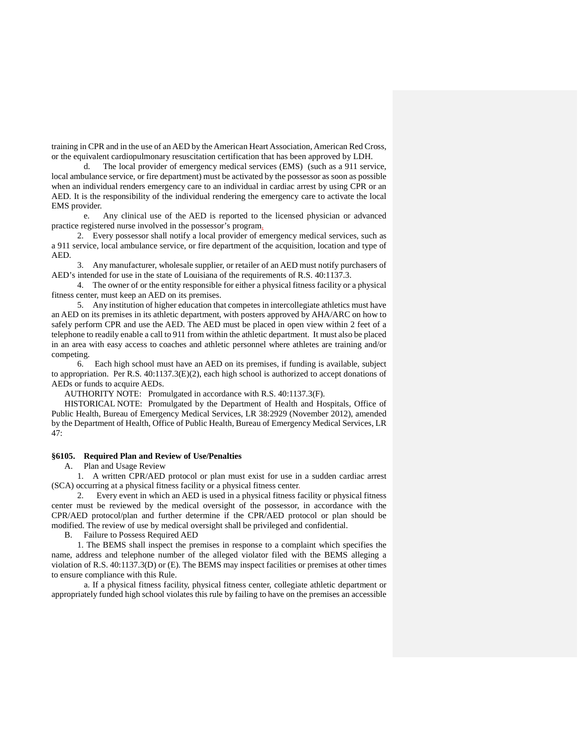training in CPR and in the use of an AED by the American Heart Association, American Red Cross, or the equivalent cardiopulmonary resuscitation certification that has been approved by LDH.

d. The local provider of emergency medical services (EMS) (such as a 911 service, local ambulance service, or fire department) must be activated by the possessor as soon as possible when an individual renders emergency care to an individual in cardiac arrest by using CPR or an AED. It is the responsibility of the individual rendering the emergency care to activate the local EMS provider.

e. Any clinical use of the AED is reported to the licensed physician or advanced practice registered nurse involved in the possessor's program.

2. Every possessor shall notify a local provider of emergency medical services, such as a 911 service, local ambulance service, or fire department of the acquisition, location and type of AED.

3. Any manufacturer, wholesale supplier, or retailer of an AED must notify purchasers of AED's intended for use in the state of Louisiana of the requirements of R.S. 40:1137.3.

4. The owner of or the entity responsible for either a physical fitness facility or a physical fitness center, must keep an AED on its premises.

5. Any institution of higher education that competes in intercollegiate athletics must have an AED on its premises in its athletic department, with posters approved by AHA/ARC on how to safely perform CPR and use the AED. The AED must be placed in open view within 2 feet of a telephone to readily enable a call to 911 from within the athletic department. It must also be placed in an area with easy access to coaches and athletic personnel where athletes are training and/or competing.

6. Each high school must have an AED on its premises, if funding is available, subject to appropriation. Per R.S. 40:1137.3(E)(2), each high school is authorized to accept donations of AEDs or funds to acquire AEDs.

AUTHORITY NOTE: Promulgated in accordance with R.S. 40:1137.3(F).

HISTORICAL NOTE: Promulgated by the Department of Health and Hospitals, Office of Public Health, Bureau of Emergency Medical Services, LR 38:2929 (November 2012), amended by the Department of Health, Office of Public Health, Bureau of Emergency Medical Services, LR 47:

# **§6105. Required Plan and Review of Use/Penalties**

A. Plan and Usage Review

1. A written CPR/AED protocol or plan must exist for use in a sudden cardiac arrest (SCA) occurring at a physical fitness facility or a physical fitness center.

2. Every event in which an AED is used in a physical fitness facility or physical fitness center must be reviewed by the medical oversight of the possessor, in accordance with the CPR/AED protocol/plan and further determine if the CPR/AED protocol or plan should be modified. The review of use by medical oversight shall be privileged and confidential.

B. Failure to Possess Required AED

1. The BEMS shall inspect the premises in response to a complaint which specifies the name, address and telephone number of the alleged violator filed with the BEMS alleging a violation of R.S. 40:1137.3(D) or (E). The BEMS may inspect facilities or premises at other times to ensure compliance with this Rule.

a. If a physical fitness facility, physical fitness center, collegiate athletic department or appropriately funded high school violates this rule by failing to have on the premises an accessible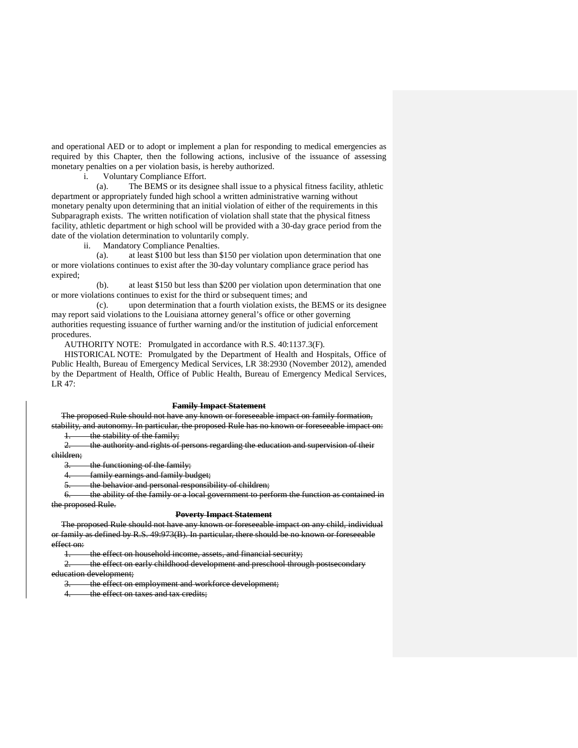and operational AED or to adopt or implement a plan for responding to medical emergencies as required by this Chapter, then the following actions, inclusive of the issuance of assessing monetary penalties on a per violation basis, is hereby authorized.

i. Voluntary Compliance Effort.

(a). The BEMS or its designee shall issue to a physical fitness facility, athletic department or appropriately funded high school a written administrative warning without monetary penalty upon determining that an initial violation of either of the requirements in this Subparagraph exists. The written notification of violation shall state that the physical fitness facility, athletic department or high school will be provided with a 30-day grace period from the date of the violation determination to voluntarily comply.

ii. Mandatory Compliance Penalties.

(a). at least \$100 but less than \$150 per violation upon determination that one or more violations continues to exist after the 30-day voluntary compliance grace period has expired;

(b). at least \$150 but less than \$200 per violation upon determination that one or more violations continues to exist for the third or subsequent times; and

(c). upon determination that a fourth violation exists, the BEMS or its designee may report said violations to the Louisiana attorney general's office or other governing authorities requesting issuance of further warning and/or the institution of judicial enforcement procedures.

AUTHORITY NOTE: Promulgated in accordance with R.S. 40:1137.3(F).

HISTORICAL NOTE: Promulgated by the Department of Health and Hospitals, Office of Public Health, Bureau of Emergency Medical Services, LR 38:2930 (November 2012), amended by the Department of Health, Office of Public Health, Bureau of Emergency Medical Services, LR 47:

#### **Family Impact Statement**

The proposed Rule should not have any known or foreseeable impact on family formation, stability, and autonomy. In particular, the proposed Rule has no known or foreseeable impact on:

1. the stability of the family;

2. the authority and rights of persons regarding the education and supervision of their children;

3. the functioning of the family;

4. family earnings and family budget;

5. the behavior and personal responsibility of children;

6. the ability of the family or a local government to perform the function as contained in the proposed Rule.

#### **Poverty Impact Statement**

The proposed Rule should not have any known or foreseeable impact on any child, individual or family as defined by R.S. 49:973(B). In particular, there should be no known or foreseeable effect on:

the effect on household income, assets, and financial security;

2. the effect on early childhood development and preschool through postsecondary education development;

3. the effect on employment and workforce development;

4. the effect on taxes and tax credits;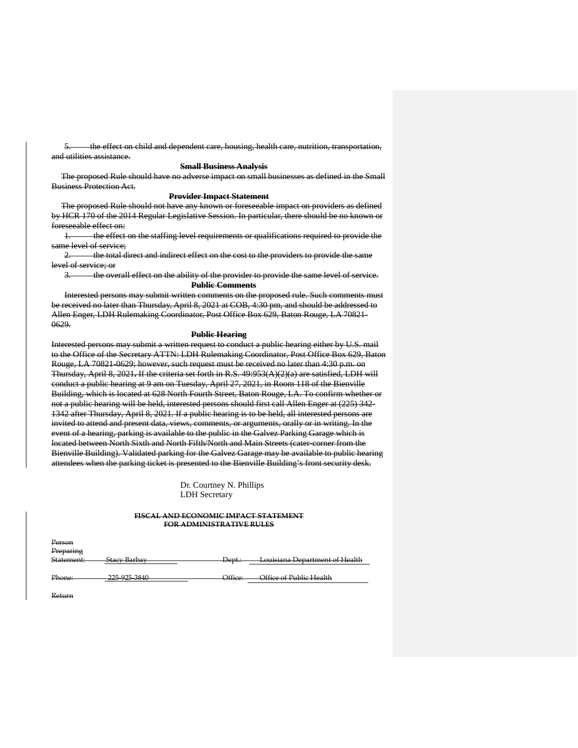5. the effect on child and dependent care, housing, health care, nutrition, transportation, and utilities assistance.

### **Small Business Analysis**

The proposed Rule should have no adverse impact on small businesses as defined in the Small Business Protection Act.

#### **Provider Impact Statement**

The proposed Rule should not have any known or foreseeable impact on providers as defined by HCR 170 of the 2014 Regular Legislative Session. In particular, there should be no known or foreseeable effect on:

1. the effect on the staffing level requirements or qualifications required to provide the same level of service;

2. the total direct and indirect effect on the cost to the providers to provide the same level of service; or

3. the overall effect on the ability of the provider to provide the same level of service. **Public Comments**

Interested persons may submit written comments on the proposed rule. Such comments must be received no later than Thursday, April 8, 2021 at COB, 4:30 pm, and should be addressed to Allen Enger, LDH Rulemaking Coordinator, Post Office Box 629, Baton Rouge, LA 70821- 0629.

#### **Public Hearing**

Interested persons may submit a written request to conduct a public hearing either by U.S. mail to the Office of the Secretary ATTN: LDH Rulemaking Coordinator, Post Office Box 629, Baton Rouge, LA 70821-0629; however, such request must be received no later than 4:30 p.m. on Thursday, April 8, 2021**.** If the criteria set forth in R.S. 49:953(A)(2)(a) are satisfied, LDH will conduct a public hearing at 9 am on Tuesday, April 27, 2021, in Room 118 of the Bienville Building, which is located at 628 North Fourth Street, Baton Rouge, LA. To confirm whether or not a public hearing will be held, interested persons should first call Allen Enger at (225) 342- 1342 after Thursday, April 8, 2021. If a public hearing is to be held, all interested persons are invited to attend and present data, views, comments, or arguments, orally or in writing. In the event of a hearing, parking is available to the public in the Galvez Parking Garage which is located between North Sixth and North Fifth/North and Main Streets (cater-corner from the Bienville Building). Validated parking for the Galvez Garage may be available to public hearing attendees when the parking ticket is presented to the Bienville Building's front security desk.

> Dr. Courtney N. Phillips LDH Secretary

### **FISCAL AND ECONOMIC IMPACT STATEMENT FOR ADMINISTRATIVE RULES**

| Person           |                                              |                           |                                                                |
|------------------|----------------------------------------------|---------------------------|----------------------------------------------------------------|
| Preparing        |                                              |                           |                                                                |
| Statement:       | Stacy Rarbay<br>∍tacv<br><del>-barba</del> y | <del>⊅ept.∶</del>         | Louisiana Department of Health                                 |
|                  |                                              |                           |                                                                |
| Phona<br>11011C. | 225.025.2840<br><del>220-920-0010</del>      | Qffica<br><del>ome.</del> | Office of Public Health<br><del>omee vi i uvire i ledith</del> |

Return